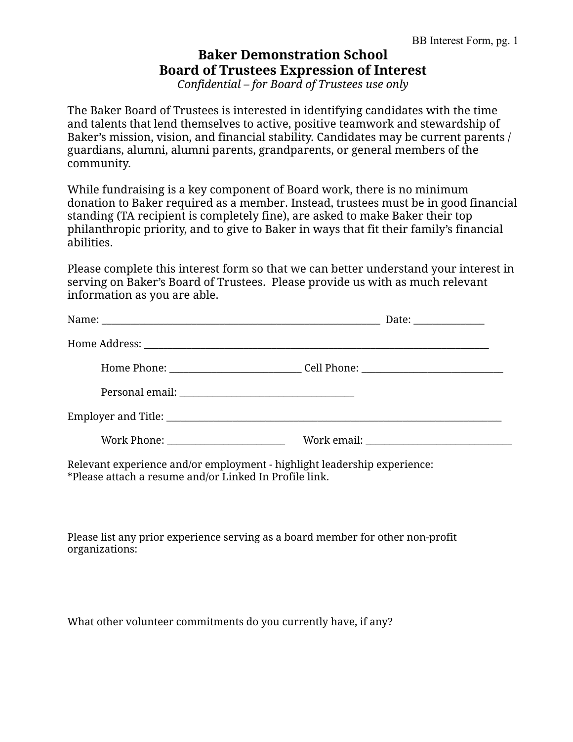## **Baker Demonstration School Board of Trustees Expression of Interest**

*Confidential – for Board of Trustees use only*

The Baker Board of Trustees is interested in identifying candidates with the time and talents that lend themselves to active, positive teamwork and stewardship of Baker's mission, vision, and financial stability. Candidates may be current parents / guardians, alumni, alumni parents, grandparents, or general members of the community.

While fundraising is a key component of Board work, there is no minimum donation to Baker required as a member. Instead, trustees must be in good financial standing (TA recipient is completely fine), are asked to make Baker their top philanthropic priority, and to give to Baker in ways that fit their family's financial abilities.

Please complete this interest form so that we can better understand your interest in serving on Baker's Board of Trustees. Please provide us with as much relevant information as you are able.

|                                  | Date: ______________                                                              |
|----------------------------------|-----------------------------------------------------------------------------------|
|                                  |                                                                                   |
|                                  | Home Phone: __________________________________Cell Phone: _______________________ |
|                                  |                                                                                   |
|                                  |                                                                                   |
| Work Phone: ____________________ |                                                                                   |

Relevant experience and/or employment - highlight leadership experience: \*Please attach a resume and/or Linked In Profile link.

Please list any prior experience serving as a board member for other non-profit organizations:

What other volunteer commitments do you currently have, if any?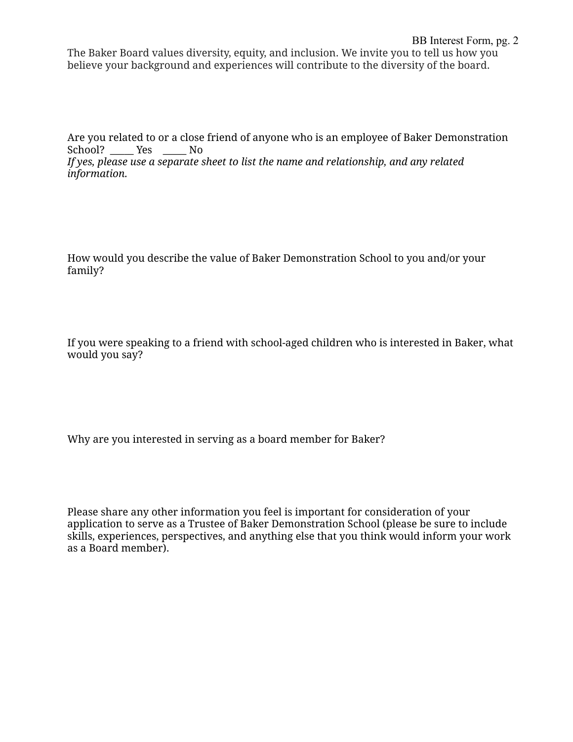The Baker Board values diversity, equity, and inclusion. We invite you to tell us how you believe your background and experiences will contribute to the diversity of the board.

Are you related to or a close friend of anyone who is an employee of Baker Demonstration School? Yes No

*If yes, please use a separate sheet to list the name and relationship, and any related information.*

How would you describe the value of Baker Demonstration School to you and/or your family?

If you were speaking to a friend with school-aged children who is interested in Baker, what would you say?

Why are you interested in serving as a board member for Baker?

Please share any other information you feel is important for consideration of your application to serve as a Trustee of Baker Demonstration School (please be sure to include skills, experiences, perspectives, and anything else that you think would inform your work as a Board member).